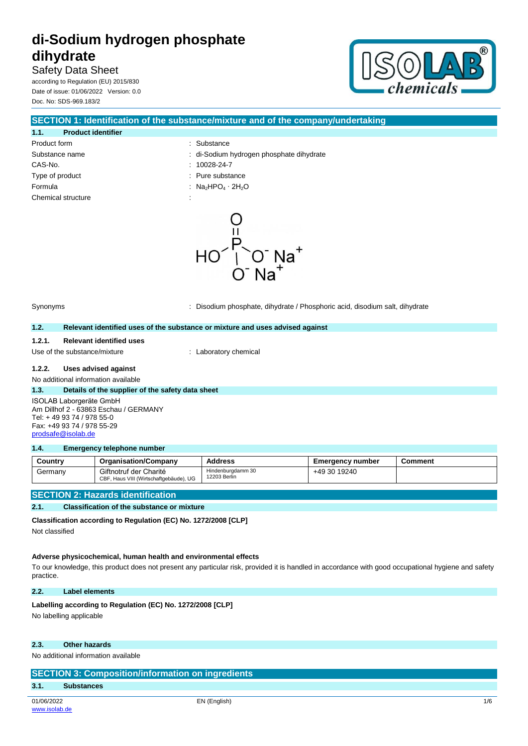Safety Data Sheet according to Regulation (EU) 2015/830 Date of issue: 01/06/2022 Version: 0.0 Doc. No: SDS-969.183/2



| SECTION 1: Identification of the substance/mixture and of the company/undertaking |                                        |  |
|-----------------------------------------------------------------------------------|----------------------------------------|--|
| 1.1.<br><b>Product identifier</b>                                                 |                                        |  |
| Product form                                                                      | : Substance                            |  |
| Substance name                                                                    | di-Sodium hydrogen phosphate dihydrate |  |
| CAS-No.                                                                           | $: 10028-24-7$                         |  |
| Type of product                                                                   | : Pure substance                       |  |
| Formula                                                                           | : Na∍HPO⊿ · 2H∍O                       |  |
| Chemical structure                                                                |                                        |  |

້¦ັດ<sup>-</sup> Na<sup>+</sup>  $HO^{\dagger}$ 

Synonyms : Disodium phosphate, dihydrate / Phosphoric acid, disodium salt, dihydrate

#### **1.2. Relevant identified uses of the substance or mixture and uses advised against**

### **1.2.1. Relevant identified uses**

Use of the substance/mixture : Laboratory chemical

## **1.2.2. Uses advised against**

No additional information available

#### **1.3. Details of the supplier of the safety data sheet**

ISOLAB Laborgeräte GmbH Am Dillhof 2 - 63863 Eschau / GERMANY Tel: + 49 93 74 / 978 55-0 Fax: +49 93 74 / 978 55-29 [prodsafe@isolab.de](mailto:prodsafe@isolab.de)

#### **1.4. Emergency telephone number**

| Country | <b>Organisation/Company</b>                                      | Address                           | Emeraencv number | Comment |
|---------|------------------------------------------------------------------|-----------------------------------|------------------|---------|
| Germany | Giftnotruf der Charité<br>CBF, Haus VIII (Wirtschaftgebäude), UG | Hindenburgdamm 30<br>12203 Berlin | +49 30 19240     |         |

### **SECTION 2: Hazards identification**

#### **2.1. Classification of the substance or mixture**

**Classification according to Regulation (EC) No. 1272/2008 [CLP]**

Not classified

#### **Adverse physicochemical, human health and environmental effects**

To our knowledge, this product does not present any particular risk, provided it is handled in accordance with good occupational hygiene and safety practice.

**2.2. Label elements**

Labelling according to Regulation (EC) No. 1272/2008 [CLP] No labelling applicable

#### **2.3. Other hazards**

| <b>SECTION 3: Composition/information on ingredients</b> |                   |     |
|----------------------------------------------------------|-------------------|-----|
| 3.1                                                      | <b>Substances</b> |     |
| 01/06/2022                                               | EN (English)      | 1/6 |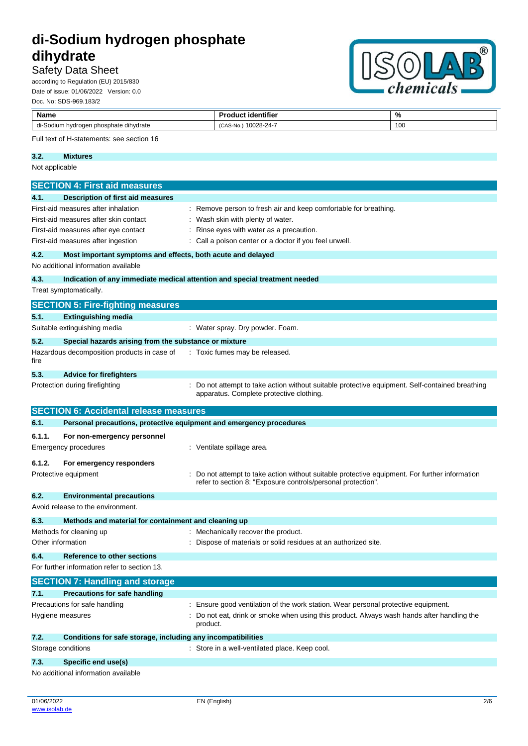## Safety Data Sheet

according to Regulation (EU) 2015/830 Date of issue: 01/06/2022 Version: 0.0 Doc. No: SDS-969.183/2



| Name              |                                                                            | <b>Product identifier</b>                                                                                                                                    | %   |
|-------------------|----------------------------------------------------------------------------|--------------------------------------------------------------------------------------------------------------------------------------------------------------|-----|
|                   | di-Sodium hydrogen phosphate dihydrate                                     | (CAS-No.) 10028-24-7                                                                                                                                         | 100 |
|                   | Full text of H-statements: see section 16                                  |                                                                                                                                                              |     |
| 3.2.              | <b>Mixtures</b>                                                            |                                                                                                                                                              |     |
| Not applicable    |                                                                            |                                                                                                                                                              |     |
|                   | <b>SECTION 4: First aid measures</b>                                       |                                                                                                                                                              |     |
| 4.1.              | <b>Description of first aid measures</b>                                   |                                                                                                                                                              |     |
|                   | First-aid measures after inhalation                                        | : Remove person to fresh air and keep comfortable for breathing.                                                                                             |     |
|                   | First-aid measures after skin contact                                      | : Wash skin with plenty of water.                                                                                                                            |     |
|                   | First-aid measures after eye contact                                       | Rinse eyes with water as a precaution.                                                                                                                       |     |
|                   | First-aid measures after ingestion                                         | Call a poison center or a doctor if you feel unwell.                                                                                                         |     |
| 4.2.              | Most important symptoms and effects, both acute and delayed                |                                                                                                                                                              |     |
|                   | No additional information available                                        |                                                                                                                                                              |     |
| 4.3.              | Indication of any immediate medical attention and special treatment needed |                                                                                                                                                              |     |
|                   | Treat symptomatically.                                                     |                                                                                                                                                              |     |
|                   | <b>SECTION 5: Fire-fighting measures</b>                                   |                                                                                                                                                              |     |
| 5.1.              | <b>Extinguishing media</b>                                                 |                                                                                                                                                              |     |
|                   | Suitable extinguishing media                                               | : Water spray. Dry powder. Foam.                                                                                                                             |     |
| 5.2.              | Special hazards arising from the substance or mixture                      |                                                                                                                                                              |     |
| fire              | Hazardous decomposition products in case of                                | : Toxic fumes may be released.                                                                                                                               |     |
| 5.3.              | <b>Advice for firefighters</b>                                             |                                                                                                                                                              |     |
|                   | Protection during firefighting                                             | Do not attempt to take action without suitable protective equipment. Self-contained breathing<br>apparatus. Complete protective clothing.                    |     |
|                   | <b>SECTION 6: Accidental release measures</b>                              |                                                                                                                                                              |     |
| 6.1.              | Personal precautions, protective equipment and emergency procedures        |                                                                                                                                                              |     |
| 6.1.1.            | For non-emergency personnel                                                |                                                                                                                                                              |     |
|                   | <b>Emergency procedures</b>                                                | : Ventilate spillage area.                                                                                                                                   |     |
| 6.1.2.            | For emergency responders                                                   |                                                                                                                                                              |     |
|                   | Protective equipment                                                       | Do not attempt to take action without suitable protective equipment. For further information<br>refer to section 8: "Exposure controls/personal protection". |     |
| 6.2.              | <b>Environmental precautions</b>                                           |                                                                                                                                                              |     |
|                   | Avoid release to the environment.                                          |                                                                                                                                                              |     |
| 6.3.              | Methods and material for containment and cleaning up                       |                                                                                                                                                              |     |
|                   | Methods for cleaning up                                                    | : Mechanically recover the product.                                                                                                                          |     |
| Other information |                                                                            | Dispose of materials or solid residues at an authorized site.                                                                                                |     |
| 6.4.              | Reference to other sections                                                |                                                                                                                                                              |     |
|                   | For further information refer to section 13.                               |                                                                                                                                                              |     |
|                   | <b>SECTION 7: Handling and storage</b>                                     |                                                                                                                                                              |     |
| 7.1.              | <b>Precautions for safe handling</b>                                       |                                                                                                                                                              |     |
|                   | Precautions for safe handling                                              | : Ensure good ventilation of the work station. Wear personal protective equipment.                                                                           |     |
|                   | Hygiene measures<br>product.                                               | Do not eat, drink or smoke when using this product. Always wash hands after handling the                                                                     |     |
| 7.2.              | Conditions for safe storage, including any incompatibilities               |                                                                                                                                                              |     |
|                   | Storage conditions                                                         | : Store in a well-ventilated place. Keep cool.                                                                                                               |     |
| 7.3.              | Specific end use(s)                                                        |                                                                                                                                                              |     |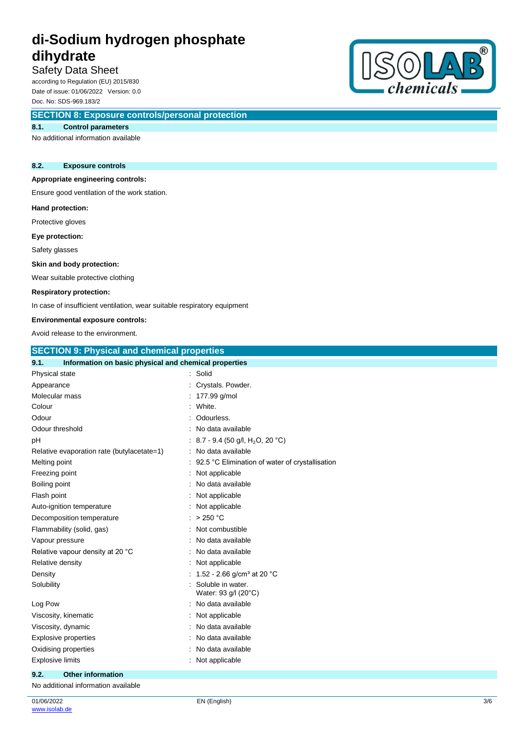# Safety Data Sheet

according to Regulation (EU) 2015/830 Date of issue: 01/06/2022 Version: 0.0 Doc. No: SDS-969.183/2

# **SECTION 8: Exposure controls/personal protection**

#### **8.1. Control parameters**

No additional information available

### **8.2. Exposure controls**

### **Appropriate engineering controls:**

Ensure good ventilation of the work station.

#### **Hand protection:**

Protective gloves

**Eye protection:**

Safety glasses

#### **Skin and body protection:**

Wear suitable protective clothing

#### **Respiratory protection:**

In case of insufficient ventilation, wear suitable respiratory equipment

# **Environmental exposure controls:**

| 7<br>enemicais |
|----------------|

| ENVIRUMMENTAI EXPOSURE CONTROIS.                              |                                                    |  |  |
|---------------------------------------------------------------|----------------------------------------------------|--|--|
| Avoid release to the environment.                             |                                                    |  |  |
|                                                               | <b>SECTION 9: Physical and chemical properties</b> |  |  |
| 9.1.<br>Information on basic physical and chemical properties |                                                    |  |  |
| Physical state                                                | : Solid                                            |  |  |
| Appearance                                                    | Crystals. Powder.                                  |  |  |
| Molecular mass                                                | : 177.99 g/mol                                     |  |  |
| Colour                                                        | White.                                             |  |  |
| Odour                                                         | Odourless.                                         |  |  |
| Odour threshold                                               | No data available                                  |  |  |
| pH                                                            | : 8.7 - 9.4 (50 g/l, H <sub>2</sub> O, 20 °C)      |  |  |
| Relative evaporation rate (butylacetate=1)                    | : No data available                                |  |  |
| Melting point                                                 | 92.5 °C Elimination of water of crystallisation    |  |  |
| Freezing point                                                | : Not applicable                                   |  |  |
| Boiling point                                                 | No data available                                  |  |  |
| Flash point                                                   | Not applicable                                     |  |  |
| Auto-ignition temperature                                     | : Not applicable                                   |  |  |
| Decomposition temperature                                     | $:$ > 250 °C                                       |  |  |
| Flammability (solid, gas)                                     | Not combustible<br>٠                               |  |  |
| Vapour pressure                                               | No data available                                  |  |  |
| Relative vapour density at 20 °C                              | No data available                                  |  |  |
| Relative density                                              | Not applicable                                     |  |  |
| Density                                                       | : 1.52 - 2.66 g/cm <sup>3</sup> at 20 °C           |  |  |
| Solubility                                                    | Soluble in water.<br>Water: 93 g/l (20°C)          |  |  |
| Log Pow                                                       | : No data available                                |  |  |
| Viscosity, kinematic                                          | Not applicable                                     |  |  |
| Viscosity, dynamic                                            | No data available                                  |  |  |
| <b>Explosive properties</b>                                   | : No data available                                |  |  |
| Oxidising properties                                          | No data available                                  |  |  |
| <b>Explosive limits</b>                                       | Not applicable                                     |  |  |
| 9.2.<br><b>Other information</b>                              |                                                    |  |  |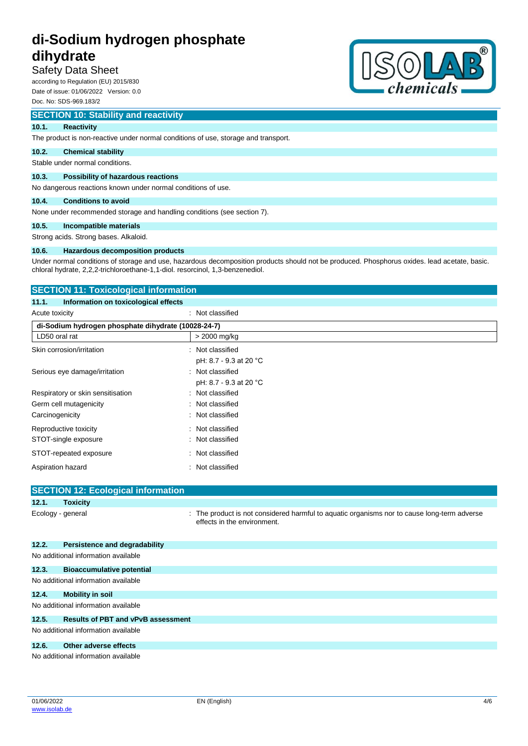## Safety Data Sheet

according to Regulation (EU) 2015/830 Date of issue: 01/06/2022 Version: 0.0 Doc. No: SDS-969.183/2

# **SECTION 10: Stability and reactivity**

#### **10.1. Reactivity**

The product is non-reactive under normal conditions of use, storage and transport.

#### **10.2. Chemical stability**

Stable under normal conditions.

#### **10.3. Possibility of hazardous reactions**

No dangerous reactions known under normal conditions of use.

#### **10.4. Conditions to avoid**

None under recommended storage and handling conditions (see section 7).

#### **10.5. Incompatible materials**

Strong acids. Strong bases. Alkaloid.

#### **10.6. Hazardous decomposition products**

Under normal conditions of storage and use, hazardous decomposition products should not be produced. Phosphorus oxides. lead acetate, basic. chloral hydrate, 2,2,2-trichloroethane-1,1-diol. resorcinol, 1,3-benzenediol.

# **SECTION 11: Toxicological information 11.1. Information on toxicological effects** Acute toxicity **in the case of the Case of the Case of the Case of the Case of the Case of the Case of the Case of the Case of the Case of the Case of the Case of the Case of the Case of the Case of the Case of the Case of di-Sodium hydrogen phosphate dihydrate (10028-24-7)**  $LD50$  oral rat  $> 2000$  mg/kg Skin corrosion/irritation : Not classified pH: 8.7 - 9.3 at 20 °C Serious eye damage/irritation : Not classified pH: 8.7 - 9.3 at 20 °C Respiratory or skin sensitisation : Not classified Germ cell mutagenicity **in the case of the Classified** in Not classified Carcinogenicity : Not classified Reproductive toxicity **in the contract of the CRS** in Not classified STOT-single exposure in the state of the state of the STOT-single exposure STOT-repeated exposure : Not classified

| Aspiration hazard | Not classified |
|-------------------|----------------|

|                                     | <b>SECTION 12: Ecological information</b>                                                                                                                                                                                      |                                                                                                                            |  |  |  |
|-------------------------------------|--------------------------------------------------------------------------------------------------------------------------------------------------------------------------------------------------------------------------------|----------------------------------------------------------------------------------------------------------------------------|--|--|--|
| 12.1.                               | <b>Toxicity</b>                                                                                                                                                                                                                |                                                                                                                            |  |  |  |
|                                     | Ecology - general                                                                                                                                                                                                              | : The product is not considered harmful to aquatic organisms nor to cause long-term adverse<br>effects in the environment. |  |  |  |
| 12.2.                               | Persistence and degradability                                                                                                                                                                                                  |                                                                                                                            |  |  |  |
|                                     | No additional information available                                                                                                                                                                                            |                                                                                                                            |  |  |  |
| 12.3.                               | <b>Bioaccumulative potential</b>                                                                                                                                                                                               |                                                                                                                            |  |  |  |
|                                     | No additional information available                                                                                                                                                                                            |                                                                                                                            |  |  |  |
| 12.4.                               | <b>Mobility in soil</b>                                                                                                                                                                                                        |                                                                                                                            |  |  |  |
| No additional information available |                                                                                                                                                                                                                                |                                                                                                                            |  |  |  |
| 12.5.                               | <b>Results of PBT and vPvB assessment</b>                                                                                                                                                                                      |                                                                                                                            |  |  |  |
|                                     | No additional information available                                                                                                                                                                                            |                                                                                                                            |  |  |  |
| 12.6.                               | Other adverse effects                                                                                                                                                                                                          |                                                                                                                            |  |  |  |
|                                     | h ha canadad is a canada da san an canada a canada a canada a canada a canada a canada a canada da san an canada a canada a canada a canada a canada a canada a canada a canada a canada a canada a canada a canada a canada a |                                                                                                                            |  |  |  |

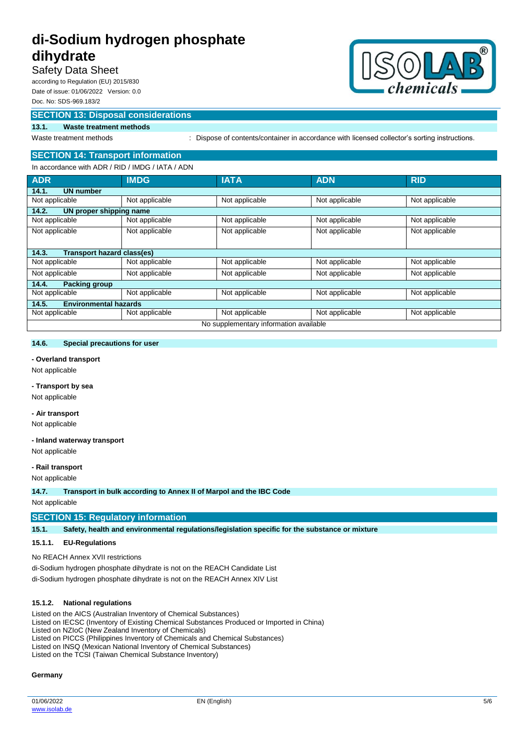# Safety Data Sheet

according to Regulation (EU) 2015/830 Date of issue: 01/06/2022 Version: 0.0 Doc. No: SDS-969.183/2

## **SECTION 13: Disposal considerations**

#### **13.1. Waste treatment methods**

Waste treatment methods : Dispose of contents/container in accordance with licensed collector's sorting instructions.

# **SECTION 14: Transport information**

| In accordance with ADR / RID / IMDG / IATA / ADN |  |  |
|--------------------------------------------------|--|--|

| $\frac{1}{2}$ . The coordinate of $\frac{1}{2}$ in the set of $\frac{1}{2}$ in the set of $\frac{1}{2}$ |                |                |                |                |
|---------------------------------------------------------------------------------------------------------|----------------|----------------|----------------|----------------|
| <b>ADR</b>                                                                                              | <b>IMDG</b>    | <b>IATA</b>    | <b>ADN</b>     | <b>RID</b>     |
| 14.1.<br><b>UN number</b>                                                                               |                |                |                |                |
| Not applicable                                                                                          | Not applicable | Not applicable | Not applicable | Not applicable |
| 14.2.<br>UN proper shipping name                                                                        |                |                |                |                |
| Not applicable                                                                                          | Not applicable | Not applicable | Not applicable | Not applicable |
| Not applicable                                                                                          | Not applicable | Not applicable | Not applicable | Not applicable |
|                                                                                                         |                |                |                |                |
| Transport hazard class(es)<br>14.3.                                                                     |                |                |                |                |
| Not applicable                                                                                          | Not applicable | Not applicable | Not applicable | Not applicable |
| Not applicable                                                                                          | Not applicable | Not applicable | Not applicable | Not applicable |
| 14.4.<br><b>Packing group</b>                                                                           |                |                |                |                |
| Not applicable                                                                                          | Not applicable | Not applicable | Not applicable | Not applicable |
| <b>Environmental hazards</b><br>14.5.                                                                   |                |                |                |                |
| Not applicable                                                                                          | Not applicable | Not applicable | Not applicable | Not applicable |
| No supplementary information available                                                                  |                |                |                |                |

#### **14.6. Special precautions for user**

#### **- Overland transport**

Not applicable

### **- Transport by sea**

Not applicable

#### **- Air transport**

Not applicable

#### **- Inland waterway transport**

Not applicable

#### **- Rail transport**

Not applicable

**14.7. Transport in bulk according to Annex II of Marpol and the IBC Code**

Not applicable

#### **SECTION 15: Regulatory information**

**15.1. Safety, health and environmental regulations/legislation specific for the substance or mixture**

#### **15.1.1. EU-Regulations**

No REACH Annex XVII restrictions

di-Sodium hydrogen phosphate dihydrate is not on the REACH Candidate List di-Sodium hydrogen phosphate dihydrate is not on the REACH Annex XIV List

#### **15.1.2. National regulations**

Listed on the AICS (Australian Inventory of Chemical Substances) Listed on IECSC (Inventory of Existing Chemical Substances Produced or Imported in China) Listed on NZIoC (New Zealand Inventory of Chemicals) Listed on PICCS (Philippines Inventory of Chemicals and Chemical Substances) Listed on INSQ (Mexican National Inventory of Chemical Substances)

Listed on the TCSI (Taiwan Chemical Substance Inventory)

#### **Germany**